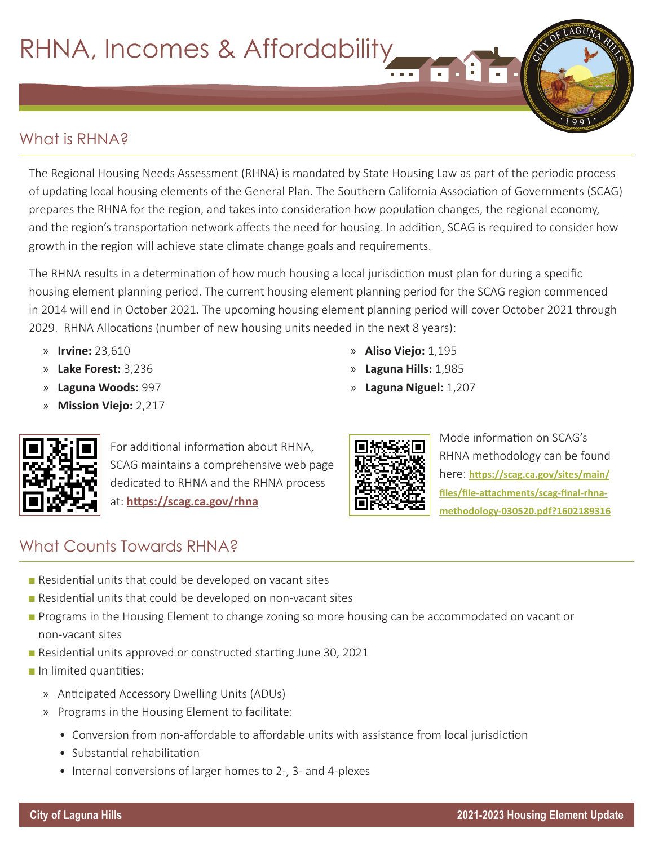## What is RHNA?

The Regional Housing Needs Assessment (RHNA) is mandated by State Housing Law as part of the periodic process of updating local housing elements of the General Plan. The Southern California Association of Governments (SCAG) prepares the RHNA for the region, and takes into consideration how population changes, the regional economy, and the region's transportation network affects the need for housing. In addition, SCAG is required to consider how growth in the region will achieve state climate change goals and requirements.

The RHNA results in a determination of how much housing a local jurisdiction must plan for during a specific housing element planning period. The current housing element planning period for the SCAG region commenced in 2014 will end in October 2021. The upcoming housing element planning period will cover October 2021 through 2029. RHNA Allocations (number of new housing units needed in the next 8 years):

- » **Irvine:** 23,610
- » **Lake Forest:** 3,236
- » **Laguna Woods:** 997
- » **Mission Viejo:** 2,217
- » **Aliso Viejo:** 1,195
- » **Laguna Hills:** 1,985
- » **Laguna Niguel:** 1,207



For additional information about RHNA, SCAG maintains a comprehensive web page dedicated to RHNA and the RHNA process at: **<https://scag.ca.gov/rhna>**



Mode information on SCAG's RHNA methodology can be found here: **[https://scag.ca.gov/sites/main/](https://scag.ca.gov/sites/main/files/file-attachments/scag-final-rhna-methodology-030520.pdf?1602189316) [files/file-attachments/scag-final-rhna](https://scag.ca.gov/sites/main/files/file-attachments/scag-final-rhna-methodology-030520.pdf?1602189316)[methodology-030520.pdf?1602189316](https://scag.ca.gov/sites/main/files/file-attachments/scag-final-rhna-methodology-030520.pdf?1602189316)**

TR LAGU

## What Counts Towards RHNA?

- Residential units that could be developed on vacant sites
- Residential units that could be developed on non-vacant sites
- Programs in the Housing Element to change zoning so more housing can be accommodated on vacant or non-vacant sites
- Residential units approved or constructed starting June 30, 2021
- In limited quantities:
	- » Anticipated Accessory Dwelling Units (ADUs)
	- » Programs in the Housing Element to facilitate:
		- Conversion from non-affordable to affordable units with assistance from local jurisdiction
		- Substantial rehabilitation
		- Internal conversions of larger homes to 2-, 3- and 4-plexes